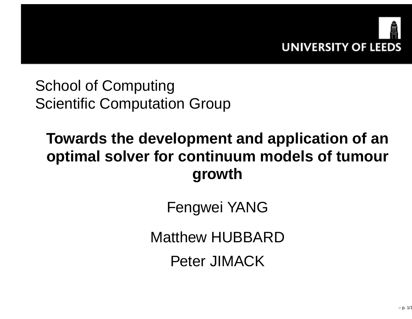

School of ComputingScientific Computation Group

# **Towards the development and application of an optimal solver for continuum models of tumourgrowth**

Fengwei YANG

Matthew HUBBARD

Peter JIMACK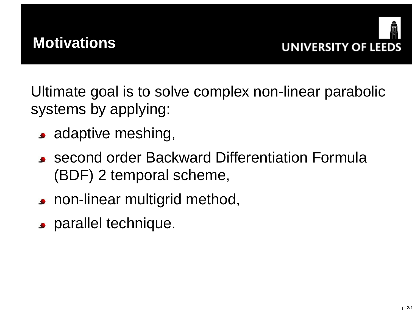



Ultimate goal is to solve complex non-linear parabolicsystems by applying:

- adaptive meshing,
- second order Backward Differentiation Formula(BDF) <sup>2</sup> temporal scheme,
- **Periodical multigrid method,**
- parallel technique.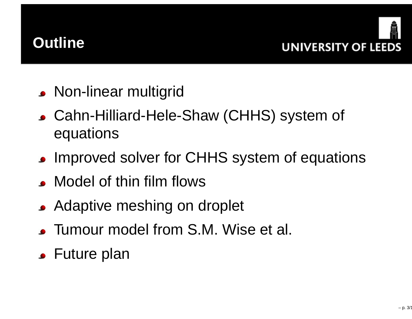



- Non-linear multigrid
- Cahn-Hilliard-Hele-Shaw (CHHS) system of equations
- **Improved solver for CHHS system of equations**
- Model of thin film flows
- Adaptive meshing on droplet
- Tumour model from S.M. Wise et al.
- Future plan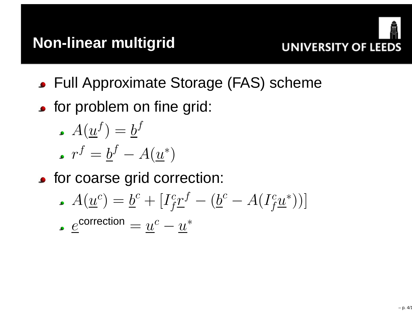

- Full Approximate Storage (FAS) scheme
- **•** for problem on fine grid:

$$
\centerdot A(\underline{u}^f) = \underline{b}^f
$$

$$
\centerdot r^f = \underline{b}^f - A(\underline{u}^*)
$$

for coarse grid correction:

$$
A(\underline{u}^c) = \underline{b}^c + [I_f^c \underline{r}^f - (\underline{b}^c - A(I_f^c \underline{u}^*))]
$$
  
 
$$
e^{\text{correction}} = u^c - u^*
$$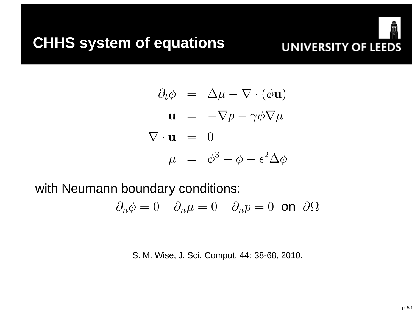

$$
\partial_t \phi = \Delta \mu - \nabla \cdot (\phi \mathbf{u})
$$
  

$$
\mathbf{u} = -\nabla p - \gamma \phi \nabla \mu
$$
  

$$
\nabla \cdot \mathbf{u} = 0
$$
  

$$
\mu = \phi^3 - \phi - \epsilon^2 \Delta \phi
$$

with Neumann boundary conditions:

$$
\partial_n \phi = 0 \quad \partial_n \mu = 0 \quad \partial_n p = 0 \text{ on } \partial \Omega
$$

S. M. Wise, J. Sci. Comput, 44: 38-68, 2010.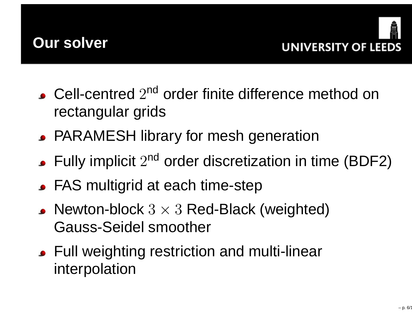



- Cell-centred  $2^{\mathsf{nd}}$  order finite difference method on rectangular grids
- PARAMESH library for mesh generation
- Fully implicit  $2^{nd}$  order discretization in time (BDF2)
- FAS multigrid at each time-step
- ${\sf Newton\text{-}block}\;3\times3$  Red-Black (weighted)<br>Cause Saidel amaather Gauss-Seidel smoother
- Full weighting restriction and multi-linearinterpolation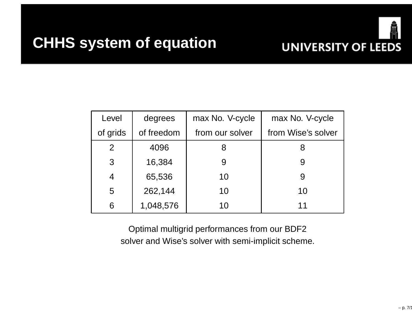

| Level          | degrees    | max No. V-cycle | max No. V-cycle    |  |
|----------------|------------|-----------------|--------------------|--|
| of grids       | of freedom | from our solver | from Wise's solver |  |
| 2              | 4096       |                 | 8                  |  |
| 3              | 16,384     | 9               | 9                  |  |
| $\overline{4}$ | 65,536     | 10              | 9                  |  |
| 5              | 262,144    | 10              | 10                 |  |
| 6              | 1,048,576  | 10              | 11                 |  |

Optimal multigrid performances from our BDF2solver and Wise's solver with semi-implicit scheme.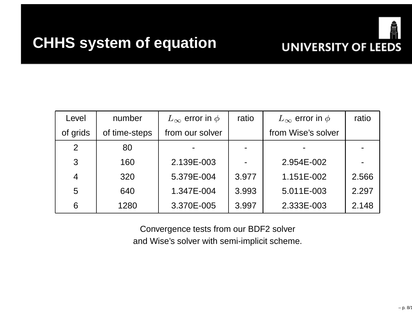### **CHHS system of equation**



| Level          | number        | $L_{\infty}$ error in $\phi$ | ratio | $L_{\infty}$ error in $\phi$ | ratio |
|----------------|---------------|------------------------------|-------|------------------------------|-------|
| of grids       | of time-steps | from our solver              |       | from Wise's solver           |       |
| 2              | 80            |                              |       |                              |       |
| 3              | 160           | 2.139E-003                   |       | 2.954E-002                   |       |
| $\overline{4}$ | 320           | 5.379E-004                   | 3.977 | 1.151E-002                   | 2.566 |
| 5              | 640           | 1.347E-004                   | 3.993 | 5.011E-003                   | 2.297 |
| 6              | 1280          | 3.370E-005                   | 3.997 | 2.333E-003                   | 2.148 |

Convergence tests from our BDF2 solverand Wise's solver with semi-implicit scheme.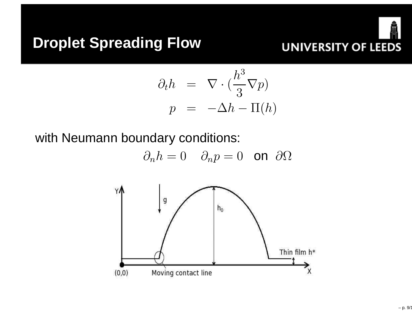

$$
\partial_t h = \nabla \cdot \left( \frac{h^3}{3} \nabla p \right)
$$

$$
p = -\Delta h - \Pi(h)
$$

 $\sim$ 

with Neumann boundary conditions:

$$
\partial_n h = 0 \quad \partial_n p = 0 \quad \text{on} \ \partial \Omega
$$

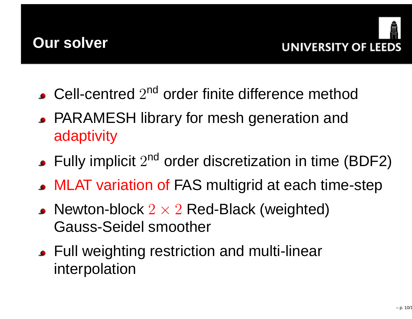



- Cell-centred  $2^{\mathsf{nd}}$  order finite difference method
- PARAMESH library for mesh generation andadaptivity
- Fully implicit  $2^{nd}$  order discretization in time (BDF2)
- MLAT variation of FAS multigrid at each time-step
- ${\sf Newton\text{-}block\ 2\times 2}$  Red-Black (weighted)<br>Cause Saidel emeather Gauss-Seidel smoother
- Full weighting restriction and multi-linearinterpolation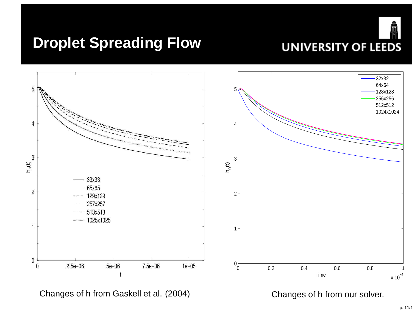



Changes of h from Gaskell et al. (2004)

Changes of h from our solver.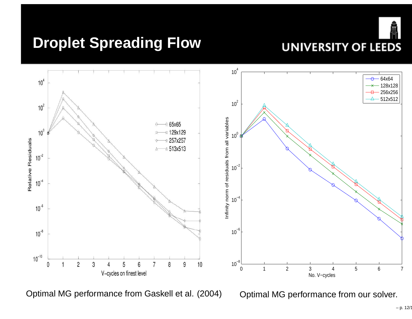



Optimal MG performance from Gaskell et al. (2004)

Optimal MG performance from our solver.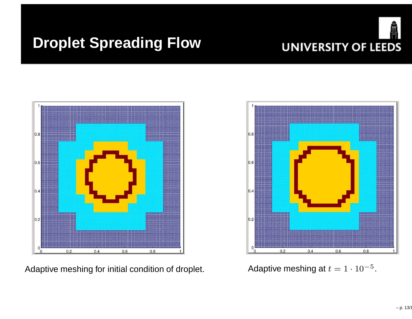



Adaptive meshing for initial condition of droplet.



 $t = 1 \cdot 10^{-5}$ .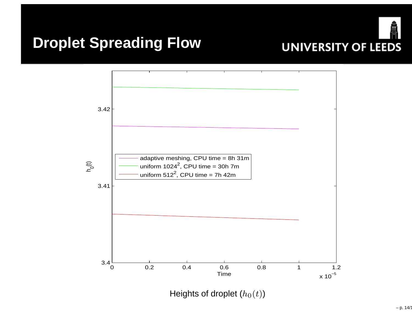



Heights of droplet  $\left(h_{0}(t)\right)$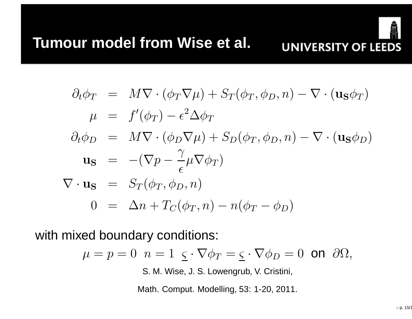

$$
\partial_t \phi_T = M \nabla \cdot (\phi_T \nabla \mu) + S_T(\phi_T, \phi_D, n) - \nabla \cdot (\mathbf{u}_S \phi_T)
$$
  
\n
$$
\mu = f'(\phi_T) - \epsilon^2 \Delta \phi_T
$$
  
\n
$$
\partial_t \phi_D = M \nabla \cdot (\phi_D \nabla \mu) + S_D(\phi_T, \phi_D, n) - \nabla \cdot (\mathbf{u}_S \phi_D)
$$
  
\n
$$
\mathbf{u}_S = -(\nabla p - \frac{\gamma}{\epsilon} \mu \nabla \phi_T)
$$
  
\n
$$
\nabla \cdot \mathbf{u}_S = S_T(\phi_T, \phi_D, n)
$$
  
\n
$$
0 = \Delta n + T_C(\phi_T, n) - n(\phi_T - \phi_D)
$$

with mixed boundary conditions:

$$
\mu = p = 0 \ \ n = 1 \ \underline{\varsigma} \cdot \nabla \phi_T = \underline{\varsigma} \cdot \nabla \phi_D = 0 \ \text{on} \ \partial \Omega,
$$

S. M. Wise, J. S. Lowengrub, V. Cristini,

Math. Comput. Modelling, 53: 1-20, 2011.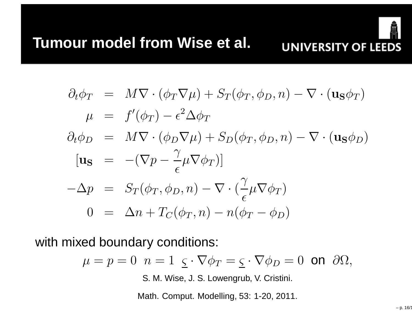

$$
\partial_t \phi_T = M \nabla \cdot (\phi_T \nabla \mu) + S_T(\phi_T, \phi_D, n) - \nabla \cdot (\mathbf{u}_S \phi_T)
$$
  
\n
$$
\mu = f'(\phi_T) - \epsilon^2 \Delta \phi_T
$$
  
\n
$$
\partial_t \phi_D = M \nabla \cdot (\phi_D \nabla \mu) + S_D(\phi_T, \phi_D, n) - \nabla \cdot (\mathbf{u}_S \phi_D)
$$
  
\n
$$
[\mathbf{u}_S = -(\nabla p - \frac{\gamma}{\epsilon} \mu \nabla \phi_T)]
$$
  
\n
$$
-\Delta p = S_T(\phi_T, \phi_D, n) - \nabla \cdot (\frac{\gamma}{\epsilon} \mu \nabla \phi_T)
$$
  
\n
$$
0 = \Delta n + T_C(\phi_T, n) - n(\phi_T - \phi_D)
$$

with mixed boundary conditions:

$$
\mu = p = 0 \ \ n = 1 \ \ \underline{\varsigma} \cdot \nabla \phi_T = \underline{\varsigma} \cdot \nabla \phi_D = 0 \ \ \text{on} \ \ \partial \Omega,
$$

S. M. Wise, J. S. Lowengrub, V. Cristini.

Math. Comput. Modelling, 53: 1-20, 2011.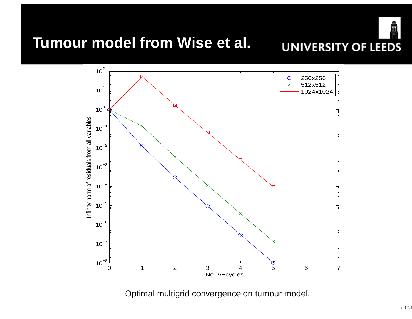

### **Tumour model from Wise et al.**



Optimal multigrid convergence on tumour model.